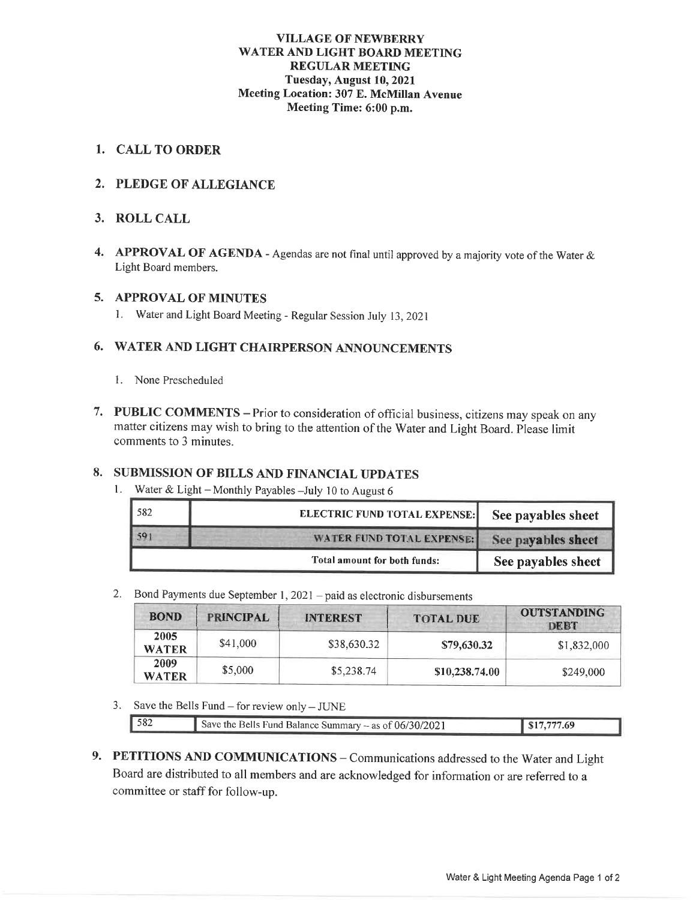#### **VILLAGE OF NEWBERRY** WATER AND LIGHT BOARD MEETING **REGULAR MEETING** Tuesday, August 10, 2021 Meeting Location: 307 E. McMillan Avenue Meeting Time: 6:00 p.m.

#### 1. CALL TO ORDER

#### 2. PLEDGE OF ALLEGIANCE

#### 3. ROLL CALL

4. APPROVAL OF AGENDA - Agendas are not final until approved by a majority vote of the Water & Light Board members.

#### 5. APPROVAL OF MINUTES

1. Water and Light Board Meeting - Regular Session July 13, 2021

#### 6. WATER AND LIGHT CHAIRPERSON ANNOUNCEMENTS

- 1. None Prescheduled
- 7. PUBLIC COMMENTS Prior to consideration of official business, citizens may speak on any matter citizens may wish to bring to the attention of the Water and Light Board. Please limit comments to 3 minutes.

#### 8. SUBMISSION OF BILLS AND FINANCIAL UPDATES

1. Water & Light - Monthly Payables - July 10 to August 6

| 582 | <b>ELECTRIC FUND TOTAL EXPENSE:</b> | See payables sheet |
|-----|-------------------------------------|--------------------|
|     | WATER FUND TOTAL EXPENSE:           | See payables sheet |
|     | Total amount for both funds:        | See payables sheet |

#### 2. Bond Payments due September 1, 2021 – paid as electronic disbursements

| <b>BOND</b>          | <b>PRINCIPAL</b> | <b>INTEREST</b> | <b>TOTAL DUE</b> | <b>OUTSTANDING</b><br>DEBT |
|----------------------|------------------|-----------------|------------------|----------------------------|
| 2005<br><b>WATER</b> | \$41,000         | \$38,630.32     | \$79,630.32      | \$1,832,000                |
| 2009<br><b>WATER</b> | \$5,000          | \$5,238.74      | \$10,238,74.00   | \$249,000                  |

3. Save the Bells Fund – for review only – JUNE

| $\vert$ 582<br>Save the Bells Fund Balance Summary $-$ as of $06/30/2021$ | $\parallel$ \$17,777.69 |
|---------------------------------------------------------------------------|-------------------------|
|---------------------------------------------------------------------------|-------------------------|

9. PETITIONS AND COMMUNICATIONS - Communications addressed to the Water and Light Board are distributed to all members and are acknowledged for information or are referred to a committee or staff for follow-up.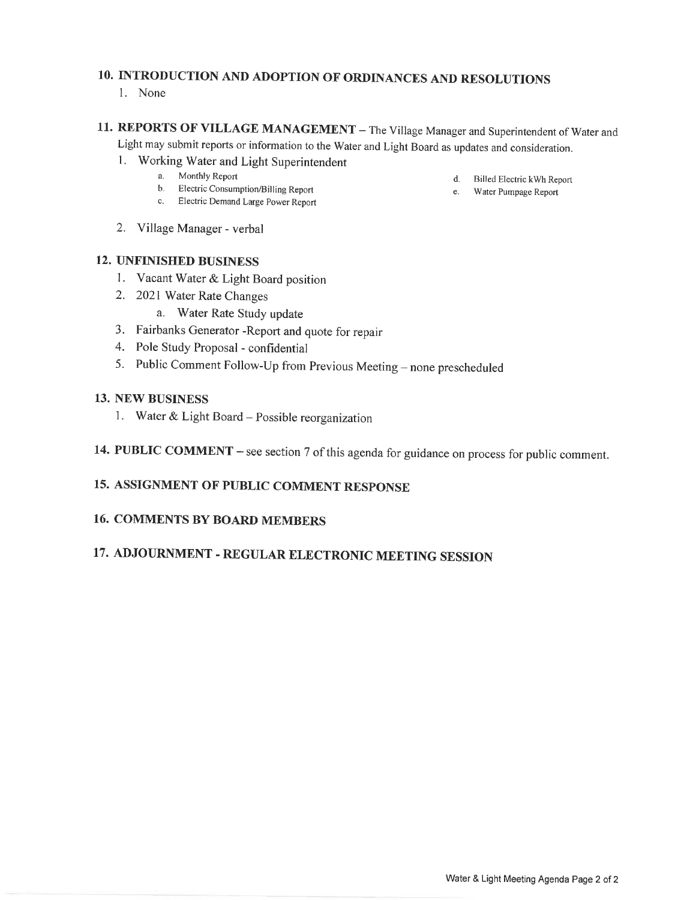# 10. INTRODUCTION AND ADOPTION OF ORDINANCES AND RESOLUTIONS

1. None

## 11. REPORTS OF VILLAGE MANAGEMENT - The Village Manager and Superintendent of Water and Light may submit reports or information to the Water and Light Board as updates and consideration.

- 1. Working Water and Light Superintendent
	- a. Monthly Report
	- b. Electric Consumption/Billing Report
	- c. Electric Demand Large Power Report
- 2. Village Manager verbal

#### **12. UNFINISHED BUSINESS**

- 1. Vacant Water & Light Board position
- 2. 2021 Water Rate Changes
	- a. Water Rate Study update
- 3. Fairbanks Generator Report and quote for repair
- 4. Pole Study Proposal confidential
- 5. Public Comment Follow-Up from Previous Meeting none prescheduled

#### **13. NEW BUSINESS**

- 1. Water & Light Board Possible reorganization
- 14. PUBLIC COMMENT see section 7 of this agenda for guidance on process for public comment.

### 15. ASSIGNMENT OF PUBLIC COMMENT RESPONSE

#### **16. COMMENTS BY BOARD MEMBERS**

# 17. ADJOURNMENT - REGULAR ELECTRONIC MEETING SESSION

- d. Billed Electric kWh Report
- e. Water Pumpage Report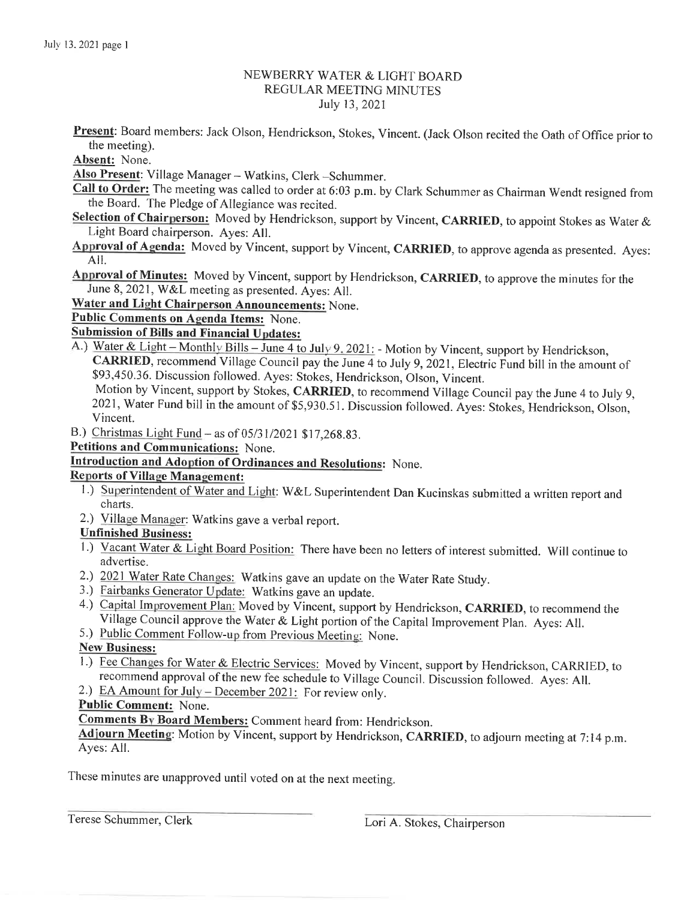#### NEWBERRY WATER & LIGHT BOARD **REGULAR MEETING MINUTES** July 13, 2021

Present: Board members: Jack Olson, Hendrickson, Stokes, Vincent. (Jack Olson recited the Oath of Office prior to the meeting).

Absent: None.

Also Present: Village Manager - Watkins, Clerk - Schummer.

- Call to Order: The meeting was called to order at 6:03 p.m. by Clark Schummer as Chairman Wendt resigned from the Board. The Pledge of Allegiance was recited.
- Selection of Chairperson: Moved by Hendrickson, support by Vincent, CARRIED, to appoint Stokes as Water & Light Board chairperson. Aves: All.
- Approval of Agenda: Moved by Vincent, support by Vincent, CARRIED, to approve agenda as presented. Ayes: AII.
- Approval of Minutes: Moved by Vincent, support by Hendrickson, CARRIED, to approve the minutes for the June 8, 2021, W&L meeting as presented. Ayes: All.

**Water and Light Chairperson Announcements: None.** 

Public Comments on Agenda Items: None.

**Submission of Bills and Financial Updates:** 

A.) Water & Light – Monthly Bills – June 4 to July 9, 2021: - Motion by Vincent, support by Hendrickson, CARRIED, recommend Village Council pay the June 4 to July 9, 2021, Electric Fund bill in the amount of \$93,450.36. Discussion followed. Ayes: Stokes, Hendrickson, Olson, Vincent.

Motion by Vincent, support by Stokes, CARRIED, to recommend Village Council pay the June 4 to July 9, 2021, Water Fund bill in the amount of \$5,930.51. Discussion followed. Ayes: Stokes, Hendrickson, Olson, Vincent.

B.) Christmas Light Fund - as of 05/31/2021 \$17,268.83.

Petitions and Communications: None.

**Introduction and Adoption of Ordinances and Resolutions:** None.

#### **Reports of Village Management:**

- 1.) Superintendent of Water and Light: W&L Superintendent Dan Kucinskas submitted a written report and charts.
- 2.) Village Manager: Watkins gave a verbal report.

#### **Unfinished Business:**

- 1.) Vacant Water & Light Board Position: There have been no letters of interest submitted. Will continue to advertise.
- 2.) 2021 Water Rate Changes: Watkins gave an update on the Water Rate Study.
- 3.) Fairbanks Generator Update: Watkins gave an update.
- 4.) Capital Improvement Plan: Moved by Vincent, support by Hendrickson, CARRIED, to recommend the Village Council approve the Water & Light portion of the Capital Improvement Plan. Ayes: All.
- 5.) Public Comment Follow-up from Previous Meeting: None.

#### **New Business:**

1.) Fee Changes for Water & Electric Services: Moved by Vincent, support by Hendrickson, CARRIED, to recommend approval of the new fee schedule to Village Council. Discussion followed. Ayes: All.

2.) EA Amount for July – December 2021: For review only.

#### **Public Comment:** None.

Comments By Board Members: Comment heard from: Hendrickson.

Adjourn Meeting: Motion by Vincent, support by Hendrickson, CARRIED, to adjourn meeting at 7:14 p.m. Ayes: All.

These minutes are unapproved until voted on at the next meeting.

Terese Schummer, Clerk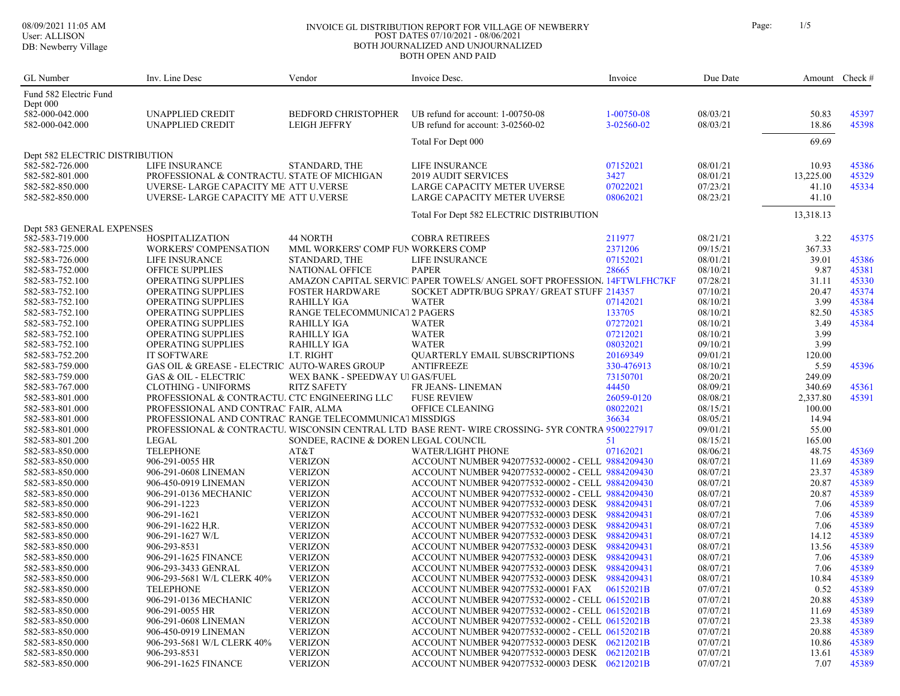#### 08/09/2021 11:05 AM INVOICE GL DISTRIBUTION REPORT FOR VILLAGE OF NEWBERRY Page: 1/5 POST DATES 07/10/2021 - 08/06/2021 BOTH JOURNALIZED AND UNJOURNALIZED BOTH OPEN AND PAID

| 'age: |  |
|-------|--|
|       |  |

| GL Number                      | Inv. Line Desc                                          | Vendor                               | Invoice Desc.                                                                                  | Invoice    | Due Date |           | Amount Check # |
|--------------------------------|---------------------------------------------------------|--------------------------------------|------------------------------------------------------------------------------------------------|------------|----------|-----------|----------------|
| Fund 582 Electric Fund         |                                                         |                                      |                                                                                                |            |          |           |                |
| Dept 000                       |                                                         |                                      |                                                                                                |            |          |           |                |
| 582-000-042.000                | UNAPPLIED CREDIT                                        | <b>BEDFORD CHRISTOPHER</b>           | UB refund for account: 1-00750-08                                                              | 1-00750-08 | 08/03/21 | 50.83     | 45397          |
| 582-000-042.000                | UNAPPLIED CREDIT                                        | <b>LEIGH JEFFRY</b>                  | UB refund for account: 3-02560-02                                                              | 3-02560-02 | 08/03/21 | 18.86     | 45398          |
|                                |                                                         |                                      | Total For Dept 000                                                                             |            |          | 69.69     |                |
| Dept 582 ELECTRIC DISTRIBUTION |                                                         |                                      |                                                                                                |            |          |           |                |
| 582-582-726.000                | LIFE INSURANCE                                          | STANDARD, THE                        | LIFE INSURANCE                                                                                 | 07152021   | 08/01/21 | 10.93     | 45386          |
| 582-582-801.000                | PROFESSIONAL & CONTRACTU. STATE OF MICHIGAN             |                                      | <b>2019 AUDIT SERVICES</b>                                                                     | 3427       | 08/01/21 | 13,225.00 | 45329          |
| 582-582-850.000                | UVERSE- LARGE CAPACITY ME' ATT U.VERSE                  |                                      | LARGE CAPACITY METER UVERSE                                                                    | 07022021   | 07/23/21 | 41.10     | 45334          |
| 582-582-850.000                | UVERSE-LARGE CAPACITY ME' ATT U.VERSE                   |                                      | LARGE CAPACITY METER UVERSE                                                                    | 08062021   | 08/23/21 | 41.10     |                |
|                                |                                                         |                                      | Total For Dept 582 ELECTRIC DISTRIBUTION                                                       |            |          | 13,318.13 |                |
| Dept 583 GENERAL EXPENSES      |                                                         |                                      |                                                                                                |            |          |           |                |
| 582-583-719.000                | <b>HOSPITALIZATION</b>                                  | 44 NORTH                             | <b>COBRA RETIREES</b>                                                                          | 211977     | 08/21/21 | 3.22      | 45375          |
| 582-583-725.000                | <b>WORKERS' COMPENSATION</b>                            | MML WORKERS' COMP FUN WORKERS COMP   |                                                                                                | 2371206    | 09/15/21 | 367.33    |                |
| 582-583-726.000                | LIFE INSURANCE                                          | STANDARD, THE                        | LIFE INSURANCE                                                                                 | 07152021   | 08/01/21 | 39.01     | 45386          |
| 582-583-752.000                | <b>OFFICE SUPPLIES</b>                                  | <b>NATIONAL OFFICE</b>               | <b>PAPER</b>                                                                                   | 28665      | 08/10/21 | 9.87      | 45381          |
| 582-583-752.100                | OPERATING SUPPLIES                                      |                                      | AMAZON CAPITAL SERVIC PAPER TOWELS/ ANGEL SOFT PROFESSION, 14FTWLFHC7KF                        |            | 07/28/21 | 31.11     | 45330          |
| 582-583-752.100                | OPERATING SUPPLIES                                      | <b>FOSTER HARDWARE</b>               | SOCKET ADPTR/BUG SPRAY/ GREAT STUFF 214357                                                     |            | 07/10/21 | 20.47     | 45374          |
| 582-583-752.100                | OPERATING SUPPLIES                                      | <b>RAHILLY IGA</b>                   | <b>WATER</b>                                                                                   | 07142021   | 08/10/21 | 3.99      | 45384          |
| 582-583-752.100                | OPERATING SUPPLIES                                      | RANGE TELECOMMUNICAT2 PAGERS         |                                                                                                | 133705     | 08/10/21 | 82.50     | 45385          |
| 582-583-752.100                | OPERATING SUPPLIES                                      | RAHILLY IGA                          | <b>WATER</b>                                                                                   | 07272021   | 08/10/21 | 3.49      | 45384          |
| 582-583-752.100                | OPERATING SUPPLIES                                      | <b>RAHILLY IGA</b>                   | <b>WATER</b>                                                                                   | 07212021   | 08/10/21 | 3.99      |                |
| 582-583-752.100                | <b>OPERATING SUPPLIES</b>                               | <b>RAHILLY IGA</b>                   | <b>WATER</b>                                                                                   | 08032021   | 09/10/21 | 3.99      |                |
| 582-583-752.200                | <b>IT SOFTWARE</b>                                      | I.T. RIGHT                           | <b>OUARTERLY EMAIL SUBSCRIPTIONS</b>                                                           | 20169349   | 09/01/21 | 120.00    |                |
| 582-583-759.000                | GAS OIL & GREASE - ELECTRIC AUTO-WARES GROUP            |                                      | <b>ANTIFREEZE</b>                                                                              | 330-476913 | 08/10/21 | 5.59      | 45396          |
| 582-583-759.000                | <b>GAS &amp; OIL - ELECTRIC</b>                         | WEX BANK - SPEEDWAY UI GAS/FUEL      |                                                                                                | 73150701   | 08/20/21 | 249.09    |                |
| 582-583-767.000                | <b>CLOTHING - UNIFORMS</b>                              | <b>RITZ SAFETY</b>                   | FR JEANS- LINEMAN                                                                              | 44450      | 08/09/21 | 340.69    | 45361          |
| 582-583-801.000                | PROFESSIONAL & CONTRACTU. CTC ENGINEERING LLC           |                                      | <b>FUSE REVIEW</b>                                                                             | 26059-0120 | 08/08/21 | 2,337.80  | 45391          |
| 582-583-801.000                | PROFESSIONAL AND CONTRAC' FAIR, ALMA                    |                                      | OFFICE CLEANING                                                                                | 08022021   | 08/15/21 | 100.00    |                |
| 582-583-801.000                | PROFESSIONAL AND CONTRAC' RANGE TELECOMMUNICAT MISSDIGS |                                      |                                                                                                | 36634      | 08/05/21 | 14.94     |                |
| 582-583-801.000                |                                                         |                                      | PROFESSIONAL & CONTRACTU. WISCONSIN CENTRAL LTD BASE RENT-WIRE CROSSING- 5YR CONTRA 9500227917 |            | 09/01/21 | 55.00     |                |
| 582-583-801.200                | LEGAL                                                   | SONDEE, RACINE & DOREN LEGAL COUNCIL |                                                                                                | 51         | 08/15/21 | 165.00    |                |
| 582-583-850.000                | <b>TELEPHONE</b>                                        | AT&T                                 | <b>WATER/LIGHT PHONE</b>                                                                       | 07162021   | 08/06/21 | 48.75     | 45369          |
| 582-583-850.000                | 906-291-0055 HR                                         | <b>VERIZON</b>                       | ACCOUNT NUMBER 942077532-00002 - CELL 9884209430                                               |            | 08/07/21 | 11.69     | 45389          |
| 582-583-850.000                | 906-291-0608 LINEMAN                                    | <b>VERIZON</b>                       | ACCOUNT NUMBER 942077532-00002 - CELL 9884209430                                               |            | 08/07/21 | 23.37     | 45389          |
| 582-583-850.000                | 906-450-0919 LINEMAN                                    | <b>VERIZON</b>                       | ACCOUNT NUMBER 942077532-00002 - CELL 9884209430                                               |            | 08/07/21 | 20.87     | 45389          |
| 582-583-850.000                | 906-291-0136 MECHANIC                                   | <b>VERIZON</b>                       | ACCOUNT NUMBER 942077532-00002 - CELL 9884209430                                               |            | 08/07/21 | 20.87     | 45389          |
| 582-583-850.000                | 906-291-1223                                            | <b>VERIZON</b>                       | ACCOUNT NUMBER 942077532-00003 DESK 9884209431                                                 |            | 08/07/21 | 7.06      | 45389          |
| 582-583-850.000                | 906-291-1621                                            | <b>VERIZON</b>                       | ACCOUNT NUMBER 942077532-00003 DESK 9884209431                                                 |            | 08/07/21 | 7.06      | 45389          |
| 582-583-850.000                | 906-291-1622 H,R.                                       | <b>VERIZON</b>                       | ACCOUNT NUMBER 942077532-00003 DESK 9884209431                                                 |            | 08/07/21 | 7.06      | 45389          |
| 582-583-850.000                | 906-291-1627 W/L                                        | <b>VERIZON</b>                       | ACCOUNT NUMBER 942077532-00003 DESK 9884209431                                                 |            | 08/07/21 | 14.12     | 45389          |
| 582-583-850.000                | 906-293-8531                                            | <b>VERIZON</b>                       | ACCOUNT NUMBER 942077532-00003 DESK 9884209431                                                 |            | 08/07/21 | 13.56     | 45389          |
| 582-583-850.000                | 906-291-1625 FINANCE                                    | <b>VERIZON</b>                       | ACCOUNT NUMBER 942077532-00003 DESK 9884209431                                                 |            | 08/07/21 | 7.06      | 45389          |
| 582-583-850.000                | 906-293-3433 GENRAL                                     | <b>VERIZON</b>                       | ACCOUNT NUMBER 942077532-00003 DESK 9884209431                                                 |            | 08/07/21 | 7.06      | 45389          |
| 582-583-850.000                | 906-293-5681 W/L CLERK 40%                              | <b>VERIZON</b>                       | ACCOUNT NUMBER 942077532-00003 DESK 9884209431                                                 |            | 08/07/21 | 10.84     | 45389          |
| 582-583-850.000                | <b>TELEPHONE</b>                                        | <b>VERIZON</b>                       | ACCOUNT NUMBER 942077532-00001 FAX 06152021B                                                   |            | 07/07/21 | 0.52      | 45389          |
| 582-583-850.000                | 906-291-0136 MECHANIC                                   | <b>VERIZON</b>                       | ACCOUNT NUMBER 942077532-00002 - CELL 06152021B                                                |            | 07/07/21 | 20.88     | 45389          |
| 582-583-850.000                | 906-291-0055 HR                                         | <b>VERIZON</b>                       | ACCOUNT NUMBER 942077532-00002 - CELL 06152021B                                                |            | 07/07/21 | 11.69     | 45389          |
| 582-583-850.000                | 906-291-0608 LINEMAN                                    | <b>VERIZON</b>                       | ACCOUNT NUMBER 942077532-00002 - CELL 06152021B                                                |            | 07/07/21 | 23.38     | 45389          |
| 582-583-850.000                | 906-450-0919 LINEMAN                                    | <b>VERIZON</b>                       | ACCOUNT NUMBER 942077532-00002 - CELL 06152021B                                                |            | 07/07/21 | 20.88     | 45389          |
| 582-583-850.000                | 906-293-5681 W/L CLERK 40%                              | <b>VERIZON</b>                       | ACCOUNT NUMBER 942077532-00003 DESK 06212021B                                                  |            | 07/07/21 | 10.86     | 45389          |
| 582-583-850.000                | 906-293-8531                                            | <b>VERIZON</b>                       | ACCOUNT NUMBER 942077532-00003 DESK 06212021B                                                  |            | 07/07/21 | 13.61     | 45389          |
| 582-583-850.000                | 906-291-1625 FINANCE                                    | <b>VERIZON</b>                       | ACCOUNT NUMBER 942077532-00003 DESK 06212021B                                                  |            | 07/07/21 | 7.07      | 45389          |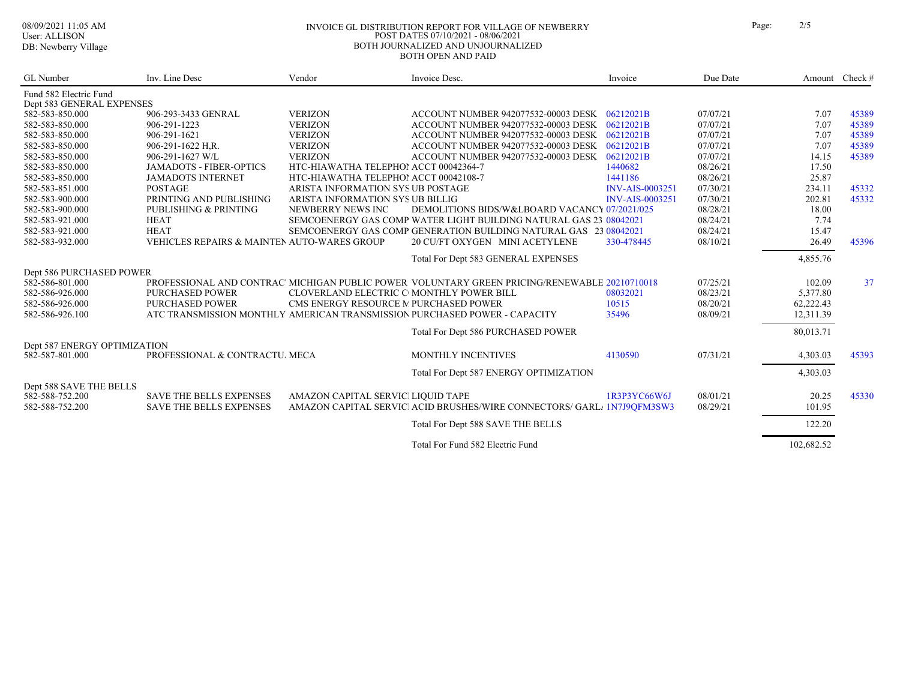#### 08/09/2021 11:05 AM INVOICE GL DISTRIBUTION REPORT FOR VILLAGE OF NEWBERRY Page: 2/5 POST DATES 07/10/2021 - 08/06/2021 BOTH JOURNALIZED AND UNJOURNALIZED BOTH OPEN AND PAID

| GL Number                                  | Inv. Line Desc                              | Vendor                                   | Invoice Desc.                                                                                | Invoice                | Due Date |            | Amount Check # |
|--------------------------------------------|---------------------------------------------|------------------------------------------|----------------------------------------------------------------------------------------------|------------------------|----------|------------|----------------|
| Fund 582 Electric Fund                     |                                             |                                          |                                                                                              |                        |          |            |                |
| Dept 583 GENERAL EXPENSES                  |                                             |                                          |                                                                                              |                        |          |            |                |
| 582-583-850.000                            | 906-293-3433 GENRAL                         | <b>VERIZON</b>                           | ACCOUNT NUMBER 942077532-00003 DESK 06212021B                                                |                        | 07/07/21 | 7.07       | 45389          |
| 582-583-850.000                            | 906-291-1223                                | <b>VERIZON</b>                           | ACCOUNT NUMBER 942077532-00003 DESK 06212021B                                                |                        | 07/07/21 | 7.07       | 45389          |
| 582-583-850.000                            | 906-291-1621                                | <b>VERIZON</b>                           | ACCOUNT NUMBER 942077532-00003 DESK 06212021B                                                |                        | 07/07/21 | 7.07       | 45389          |
| 582-583-850.000                            | 906-291-1622 H.R.                           | <b>VERIZON</b>                           | ACCOUNT NUMBER 942077532-00003 DESK 06212021B                                                |                        | 07/07/21 | 7.07       | 45389          |
| 582-583-850.000                            | 906-291-1627 W/L                            | <b>VERIZON</b>                           | ACCOUNT NUMBER 942077532-00003 DESK                                                          | 06212021B              | 07/07/21 | 14.15      | 45389          |
| 582-583-850.000                            | <b>JAMADOTS - FIBER-OPTICS</b>              | HTC-HIAWATHA TELEPHOI ACCT 00042364-7    |                                                                                              | 1440682                | 08/26/21 | 17.50      |                |
| 582-583-850.000                            | <b>JAMADOTS INTERNET</b>                    | HTC-HIAWATHA TELEPHOI ACCT 00042108-7    |                                                                                              | 1441186                | 08/26/21 | 25.87      |                |
| 582-583-851.000                            | <b>POSTAGE</b>                              | ARISTA INFORMATION SYS UB POSTAGE        |                                                                                              | <b>INV-AIS-0003251</b> | 07/30/21 | 234.11     | 45332          |
| 582-583-900.000                            | PRINTING AND PUBLISHING                     | ARISTA INFORMATION SYS UB BILLIG         |                                                                                              | <b>INV-AIS-0003251</b> | 07/30/21 | 202.81     | 45332          |
| 582-583-900.000                            | <b>PUBLISHING &amp; PRINTING</b>            | NEWBERRY NEWS INC                        | DEMOLITIONS BIDS/W&LBOARD VACANCY 07/2021/025                                                |                        | 08/28/21 | 18.00      |                |
| 582-583-921.000                            | <b>HEAT</b>                                 |                                          | SEMCOENERGY GAS COMP WATER LIGHT BUILDING NATURAL GAS 23 08042021                            |                        | 08/24/21 | 7.74       |                |
| 582-583-921.000                            | <b>HEAT</b>                                 |                                          | SEMCOENERGY GAS COMP GENERATION BUILDING NATURAL GAS 23 08042021                             |                        | 08/24/21 | 15.47      |                |
| 582-583-932.000                            | VEHICLES REPAIRS & MAINTEN AUTO-WARES GROUP |                                          | 20 CU/FT OXYGEN MINI ACETYLENE                                                               | 330-478445             | 08/10/21 | 26.49      | 45396          |
|                                            |                                             |                                          | Total For Dept 583 GENERAL EXPENSES                                                          |                        |          | 4,855.76   |                |
| Dept 586 PURCHASED POWER                   |                                             |                                          |                                                                                              |                        |          |            |                |
| 582-586-801.000                            |                                             |                                          | PROFESSIONAL AND CONTRAC MICHIGAN PUBLIC POWER VOLUNTARY GREEN PRICING/RENEWABLE 20210710018 |                        | 07/25/21 | 102.09     | 37             |
| 582-586-926.000                            | <b>PURCHASED POWER</b>                      | CLOVERLAND ELECTRIC C MONTHLY POWER BILL |                                                                                              | 08032021               | 08/23/21 | 5,377.80   |                |
| 582-586-926.000                            | <b>PURCHASED POWER</b>                      | CMS ENERGY RESOURCE M PURCHASED POWER    |                                                                                              | 10515                  | 08/20/21 | 62,222.43  |                |
| 582-586-926.100                            |                                             |                                          | ATC TRANSMISSION MONTHLY AMERICAN TRANSMISSION PURCHASED POWER - CAPACITY                    | 35496                  | 08/09/21 | 12,311.39  |                |
|                                            |                                             |                                          | Total For Dept 586 PURCHASED POWER                                                           |                        |          | 80,013.71  |                |
| Dept 587 ENERGY OPTIMIZATION               |                                             |                                          |                                                                                              |                        |          |            |                |
| 582-587-801.000                            | PROFESSIONAL & CONTRACTU, MECA              |                                          | MONTHLY INCENTIVES                                                                           | 4130590                | 07/31/21 | 4,303.03   | 45393          |
|                                            |                                             |                                          | Total For Dept 587 ENERGY OPTIMIZATION                                                       |                        |          | 4,303.03   |                |
|                                            |                                             |                                          |                                                                                              |                        |          |            |                |
| Dept 588 SAVE THE BELLS<br>582-588-752.200 | <b>SAVE THE BELLS EXPENSES</b>              | AMAZON CAPITAL SERVICI LIQUID TAPE       |                                                                                              | 1R3P3YC66W6J           | 08/01/21 | 20.25      | 45330          |
| 582-588-752.200                            | <b>SAVE THE BELLS EXPENSES</b>              |                                          | AMAZON CAPITAL SERVICI ACID BRUSHES/WIRE CONNECTORS/ GARL / 1N7J9OFM3SW3                     |                        | 08/29/21 | 101.95     |                |
|                                            |                                             |                                          |                                                                                              |                        |          |            |                |
|                                            |                                             |                                          | Total For Dept 588 SAVE THE BELLS                                                            |                        |          | 122.20     |                |
|                                            |                                             |                                          | Total For Fund 582 Electric Fund                                                             |                        |          | 102,682.52 |                |
|                                            |                                             |                                          |                                                                                              |                        |          |            |                |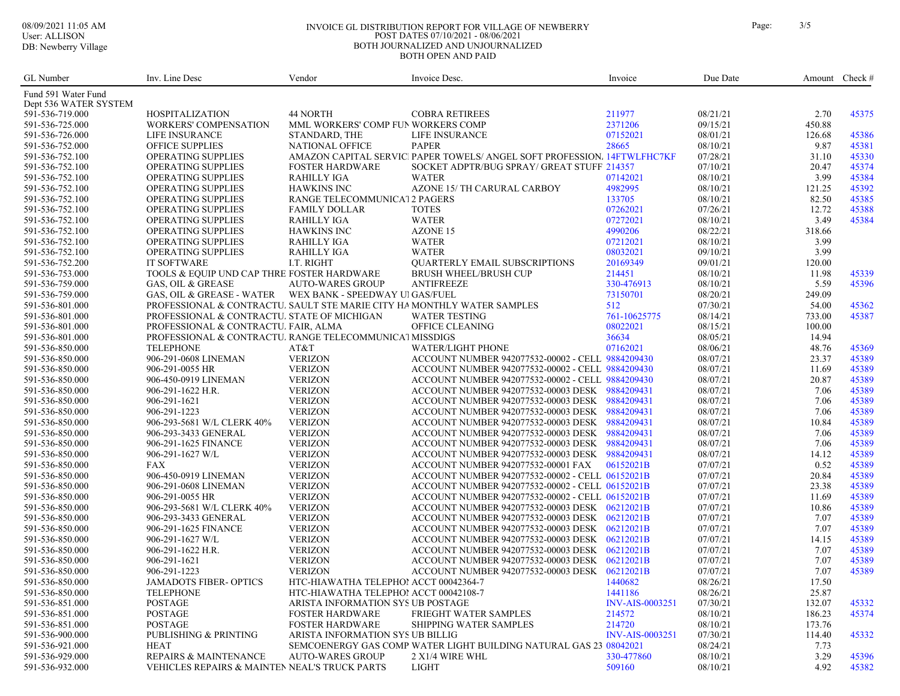#### DB: Newberry Village

#### 08/09/2021 11:05 AM INVOICE GL DISTRIBUTION REPORT FOR VILLAGE OF NEWBERRY Page: 3/5 POST DATES 07/10/2021 - 08/06/2021 BOTH JOURNALIZED AND UNJOURNALIZED BOTH OPEN AND PAID

GL Number Inv. Line Desc Vendor Vendor Invoice Desc. Invoice Amount Check #

| Page: | 3/2 |
|-------|-----|
|       |     |

| Fund 591 Water Fund<br>Dept 536 WATER SYSTEM |                                                                         |                                       |                                                                         |                        |          |        |       |
|----------------------------------------------|-------------------------------------------------------------------------|---------------------------------------|-------------------------------------------------------------------------|------------------------|----------|--------|-------|
| 591-536-719.000                              | <b>HOSPITALIZATION</b>                                                  | 44 NORTH                              | <b>COBRA RETIREES</b>                                                   | 211977                 | 08/21/21 | 2.70   | 45375 |
| 591-536-725.000                              | <b>WORKERS' COMPENSATION</b>                                            | MML WORKERS' COMP FUN WORKERS COMP    |                                                                         | 2371206                | 09/15/21 | 450.88 |       |
| 591-536-726.000                              | LIFE INSURANCE                                                          | STANDARD, THE                         | LIFE INSURANCE                                                          | 07152021               | 08/01/21 | 126.68 | 45386 |
| 591-536-752.000                              | OFFICE SUPPLIES                                                         | <b>NATIONAL OFFICE</b>                | <b>PAPER</b>                                                            | 28665                  | 08/10/21 | 9.87   | 45381 |
| 591-536-752.100                              | OPERATING SUPPLIES                                                      |                                       | AMAZON CAPITAL SERVIC PAPER TOWELS/ ANGEL SOFT PROFESSION/ 14FTWLFHC7KF |                        | 07/28/21 | 31.10  | 45330 |
| 591-536-752.100                              | OPERATING SUPPLIES                                                      | <b>FOSTER HARDWARE</b>                | SOCKET ADPTR/BUG SPRAY/ GREAT STUFF 214357                              |                        | 07/10/21 | 20.47  | 45374 |
| 591-536-752.100                              | OPERATING SUPPLIES                                                      | <b>RAHILLY IGA</b>                    | <b>WATER</b>                                                            | 07142021               | 08/10/21 | 3.99   | 45384 |
| 591-536-752.100                              | OPERATING SUPPLIES                                                      | <b>HAWKINS INC</b>                    | AZONE 15/ TH CARURAL CARBOY                                             | 4982995                | 08/10/21 | 121.25 | 45392 |
| 591-536-752.100                              | OPERATING SUPPLIES                                                      | RANGE TELECOMMUNICA12 PAGERS          |                                                                         | 133705                 | 08/10/21 | 82.50  | 45385 |
| 591-536-752.100                              | OPERATING SUPPLIES                                                      | <b>FAMILY DOLLAR</b>                  | <b>TOTES</b>                                                            | 07262021               | 07/26/21 | 12.72  | 45388 |
| 591-536-752.100                              | OPERATING SUPPLIES                                                      | <b>RAHILLY IGA</b>                    | <b>WATER</b>                                                            | 07272021               | 08/10/21 | 3.49   | 45384 |
| 591-536-752.100                              | <b>OPERATING SUPPLIES</b>                                               | <b>HAWKINS INC</b>                    | AZONE 15                                                                | 4990206                | 08/22/21 | 318.66 |       |
| 591-536-752.100                              | OPERATING SUPPLIES                                                      | <b>RAHILLY IGA</b>                    | WATER                                                                   | 07212021               | 08/10/21 | 3.99   |       |
| 591-536-752.100                              | OPERATING SUPPLIES                                                      | <b>RAHILLY IGA</b>                    | <b>WATER</b>                                                            | 08032021               | 09/10/21 | 3.99   |       |
| 591-536-752.200                              | <b>IT SOFTWARE</b>                                                      | I.T. RIGHT                            | QUARTERLY EMAIL SUBSCRIPTIONS                                           | 20169349               | 09/01/21 | 120.00 |       |
| 591-536-753.000                              | TOOLS & EQUIP UND CAP THRE FOSTER HARDWARE                              |                                       | <b>BRUSH WHEEL/BRUSH CUP</b>                                            | 214451                 | 08/10/21 | 11.98  | 45339 |
| 591-536-759.000                              | GAS, OIL & GREASE                                                       | <b>AUTO-WARES GROUP</b>               | <b>ANTIFREEZE</b>                                                       | 330-476913             | 08/10/21 | 5.59   | 45396 |
| 591-536-759.000                              |                                                                         |                                       |                                                                         | 73150701               | 08/20/21 | 249.09 |       |
| 591-536-801.000                              | PROFESSIONAL & CONTRACTU. SAULT STE MARIE CITY HA MONTHLY WATER SAMPLES |                                       |                                                                         | 512                    | 07/30/21 | 54.00  | 45362 |
| 591-536-801.000                              | PROFESSIONAL & CONTRACTU. STATE OF MICHIGAN                             |                                       | <b>WATER TESTING</b>                                                    | 761-10625775           | 08/14/21 | 733.00 | 45387 |
| 591-536-801.000                              | PROFESSIONAL & CONTRACTU. FAIR, ALMA                                    |                                       | OFFICE CLEANING                                                         | 08022021               | 08/15/21 | 100.00 |       |
| 591-536-801.000                              | PROFESSIONAL & CONTRACTU. RANGE TELECOMMUNICAT MISSDIGS                 |                                       |                                                                         | 36634                  | 08/05/21 | 14.94  |       |
| 591-536-850.000                              | <b>TELEPHONE</b>                                                        | AT&T                                  | <b>WATER/LIGHT PHONE</b>                                                | 07162021               | 08/06/21 | 48.76  | 45369 |
| 591-536-850.000                              | 906-291-0608 LINEMAN                                                    | <b>VERIZON</b>                        | ACCOUNT NUMBER 942077532-00002 - CELL 9884209430                        |                        | 08/07/21 | 23.37  | 45389 |
| 591-536-850.000                              | 906-291-0055 HR                                                         | <b>VERIZON</b>                        | ACCOUNT NUMBER 942077532-00002 - CELL 9884209430                        |                        | 08/07/21 | 11.69  | 45389 |
| 591-536-850.000                              | 906-450-0919 LINEMAN                                                    | <b>VERIZON</b>                        | ACCOUNT NUMBER 942077532-00002 - CELL 9884209430                        |                        | 08/07/21 | 20.87  | 45389 |
| 591-536-850.000                              | 906-291-1622 H.R.                                                       | <b>VERIZON</b>                        | ACCOUNT NUMBER 942077532-00003 DESK 9884209431                          |                        | 08/07/21 | 7.06   | 45389 |
| 591-536-850.000                              | 906-291-1621                                                            | <b>VERIZON</b>                        | ACCOUNT NUMBER 942077532-00003 DESK 9884209431                          |                        | 08/07/21 | 7.06   | 45389 |
| 591-536-850.000                              | 906-291-1223                                                            | <b>VERIZON</b>                        | ACCOUNT NUMBER 942077532-00003 DESK 9884209431                          |                        | 08/07/21 | 7.06   | 45389 |
| 591-536-850.000                              | 906-293-5681 W/L CLERK 40%                                              | <b>VERIZON</b>                        | ACCOUNT NUMBER 942077532-00003 DESK 9884209431                          |                        | 08/07/21 | 10.84  | 45389 |
| 591-536-850.000                              | 906-293-3433 GENERAL                                                    | <b>VERIZON</b>                        | ACCOUNT NUMBER 942077532-00003 DESK 9884209431                          |                        | 08/07/21 | 7.06   | 45389 |
| 591-536-850.000                              | 906-291-1625 FINANCE                                                    | <b>VERIZON</b>                        | ACCOUNT NUMBER 942077532-00003 DESK 9884209431                          |                        | 08/07/21 | 7.06   | 45389 |
| 591-536-850.000                              | 906-291-1627 W/L                                                        | <b>VERIZON</b>                        | ACCOUNT NUMBER 942077532-00003 DESK 9884209431                          |                        | 08/07/21 | 14.12  | 45389 |
| 591-536-850.000                              | FAX                                                                     | <b>VERIZON</b>                        | ACCOUNT NUMBER 942077532-00001 FAX                                      | 06152021B              | 07/07/21 | 0.52   | 45389 |
|                                              |                                                                         |                                       |                                                                         |                        |          |        | 45389 |
| 591-536-850.000                              | 906-450-0919 LINEMAN                                                    | <b>VERIZON</b>                        | ACCOUNT NUMBER 942077532-00002 - CELL 06152021B                         |                        | 07/07/21 | 20.84  |       |
| 591-536-850.000                              | 906-291-0608 LINEMAN                                                    | <b>VERIZON</b>                        | ACCOUNT NUMBER 942077532-00002 - CELL 06152021B                         |                        | 07/07/21 | 23.38  | 45389 |
| 591-536-850.000                              | 906-291-0055 HR                                                         | <b>VERIZON</b>                        | ACCOUNT NUMBER 942077532-00002 - CELL 06152021B                         |                        | 07/07/21 | 11.69  | 45389 |
| 591-536-850.000                              | 906-293-5681 W/L CLERK 40%                                              | <b>VERIZON</b>                        | ACCOUNT NUMBER 942077532-00003 DESK 06212021B                           |                        | 07/07/21 | 10.86  | 45389 |
| 591-536-850.000                              | 906-293-3433 GENERAL                                                    | <b>VERIZON</b>                        | ACCOUNT NUMBER 942077532-00003 DESK 06212021B                           |                        | 07/07/21 | 7.07   | 45389 |
| 591-536-850.000                              | 906-291-1625 FINANCE                                                    | <b>VERIZON</b>                        | ACCOUNT NUMBER 942077532-00003 DESK 06212021B                           |                        | 07/07/21 | 7.07   | 45389 |
| 591-536-850.000                              | 906-291-1627 W/L                                                        | <b>VERIZON</b>                        | ACCOUNT NUMBER 942077532-00003 DESK 06212021B                           |                        | 07/07/21 | 14.15  | 45389 |
| 591-536-850.000                              | 906-291-1622 H.R.                                                       | <b>VERIZON</b>                        | ACCOUNT NUMBER 942077532-00003 DESK 06212021B                           |                        | 07/07/21 | 7.07   | 45389 |
| 591-536-850.000                              | 906-291-1621                                                            | <b>VERIZON</b>                        | ACCOUNT NUMBER 942077532-00003 DESK 06212021B                           |                        | 07/07/21 | 7.07   | 45389 |
| 591-536-850.000                              | 906-291-1223                                                            | <b>VERIZON</b>                        | ACCOUNT NUMBER 942077532-00003 DESK 06212021B                           |                        | 07/07/21 | 7.07   | 45389 |
| 591-536-850.000                              | <b>JAMADOTS FIBER- OPTICS</b>                                           | HTC-HIAWATHA TELEPHOI ACCT 00042364-7 |                                                                         | 1440682                | 08/26/21 | 17.50  |       |
| 591-536-850.000                              | <b>TELEPHONE</b>                                                        | HTC-HIAWATHA TELEPHOI ACCT 00042108-7 |                                                                         | 1441186                | 08/26/21 | 25.87  |       |
| 591-536-851.000                              | <b>POSTAGE</b>                                                          | ARISTA INFORMATION SYS UB POSTAGE     |                                                                         | <b>INV-AIS-0003251</b> | 07/30/21 | 132.07 | 45332 |
| 591-536-851.000                              | <b>POSTAGE</b>                                                          | <b>FOSTER HARDWARE</b>                | FRIEGHT WATER SAMPLES                                                   | 214572                 | 08/10/21 | 186.23 | 45374 |
| 591-536-851.000                              | <b>POSTAGE</b>                                                          | <b>FOSTER HARDWARE</b>                | SHIPPING WATER SAMPLES                                                  | 214720                 | 08/10/21 | 173.76 |       |
| 591-536-900.000                              | PUBLISHING & PRINTING                                                   | ARISTA INFORMATION SYS UB BILLIG      |                                                                         | <b>INV-AIS-0003251</b> | 07/30/21 | 114.40 | 45332 |
| 591-536-921.000                              | <b>HEAT</b>                                                             |                                       | SEMCOENERGY GAS COMP WATER LIGHT BUILDING NATURAL GAS 23 08042021       |                        | 08/24/21 | 7.73   |       |
| 591-536-929.000                              | <b>REPAIRS &amp; MAINTENANCE</b>                                        | <b>AUTO-WARES GROUP</b>               | 2 X1/4 WIRE WHL                                                         | 330-477860             | 08/10/21 | 3.29   | 45396 |
| 591-536-932.000                              | VEHICLES REPAIRS & MAINTEN NEAL'S TRUCK PARTS                           |                                       | <b>LIGHT</b>                                                            | 509160                 | 08/10/21 | 4.92   | 45382 |
|                                              |                                                                         |                                       |                                                                         |                        |          |        |       |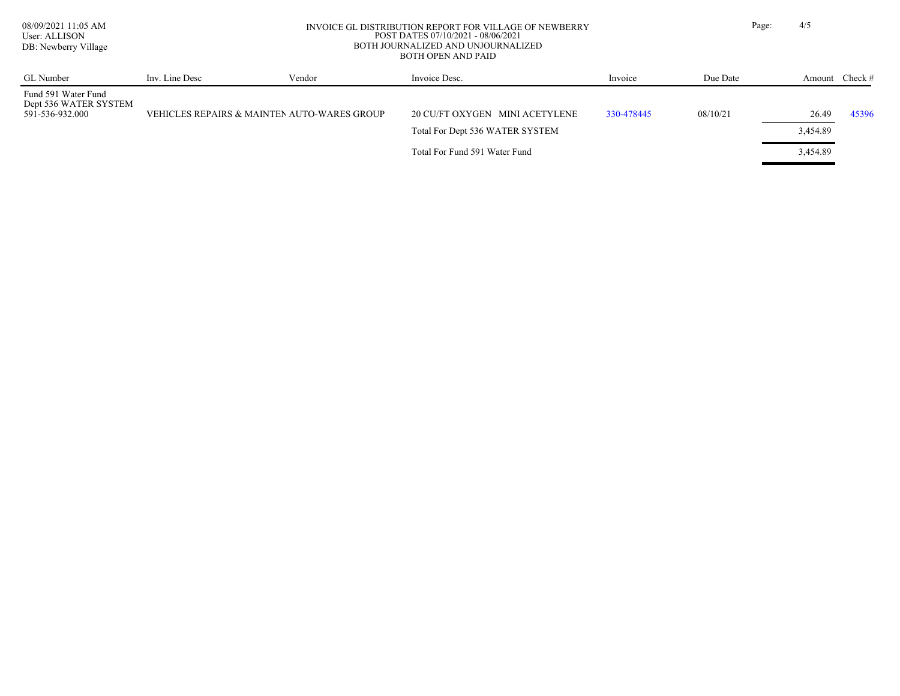User: ALLISON DB: Newberry Village

#### 08/09/2021 11:05 AM INVOICE GL DISTRIBUTION REPORT FOR VILLAGE OF NEWBERRY Page: 4/5 POST DATES 07/10/2021 - 08/06/2021 BOTH JOURNALIZED AND UNJOURNALIZED BOTH OPEN AND PAID

| GL Number                                                       | Inv. Line Desc | Vendor                                      | Invoice Desc.                   | Invoice    | Due Date | Amount Check # |       |
|-----------------------------------------------------------------|----------------|---------------------------------------------|---------------------------------|------------|----------|----------------|-------|
| Fund 591 Water Fund<br>Dept 536 WATER SYSTEM<br>591-536-932.000 |                | VEHICLES REPAIRS & MAINTEN AUTO-WARES GROUP | 20 CU/FT OXYGEN MINI ACETYLENE  | 330-478445 | 08/10/21 | 26.49          | 45396 |
|                                                                 |                |                                             | Total For Dept 536 WATER SYSTEM |            |          | 3,454.89       |       |
|                                                                 |                |                                             | Total For Fund 591 Water Fund   |            |          | 3,454.89       |       |

**Property of the Community**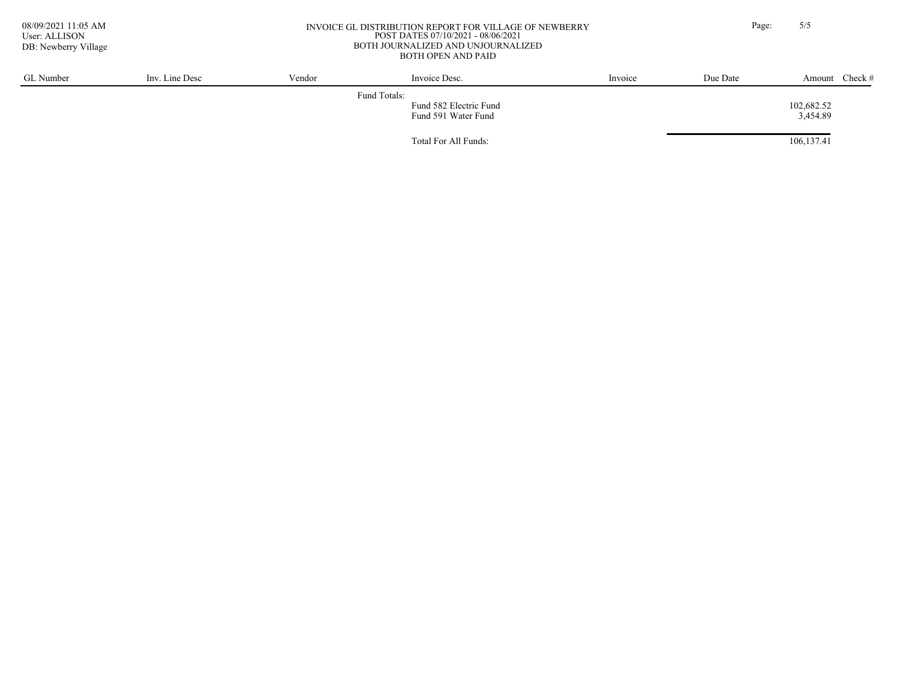User: ALLISON DB: Newberry Village

#### 08/09/2021 11:05 AM INVOICE GL DISTRIBUTION REPORT FOR VILLAGE OF NEWBERRY Page: 5/5 POST DATES 07/10/2021 - 08/06/2021 BOTH JOURNALIZED AND UNJOURNALIZED BOTH OPEN AND PAID

| GL Number | Inv. Line Desc | Vendor | Invoice Desc.                                 | Invoice | Due Date | Amount Check #         |  |
|-----------|----------------|--------|-----------------------------------------------|---------|----------|------------------------|--|
|           |                |        | Fund Totals:                                  |         |          |                        |  |
|           |                |        | Fund 582 Electric Fund<br>Fund 591 Water Fund |         |          | 102,682.52<br>3,454.89 |  |
|           |                |        | Total For All Funds:                          |         |          | 106,137.41             |  |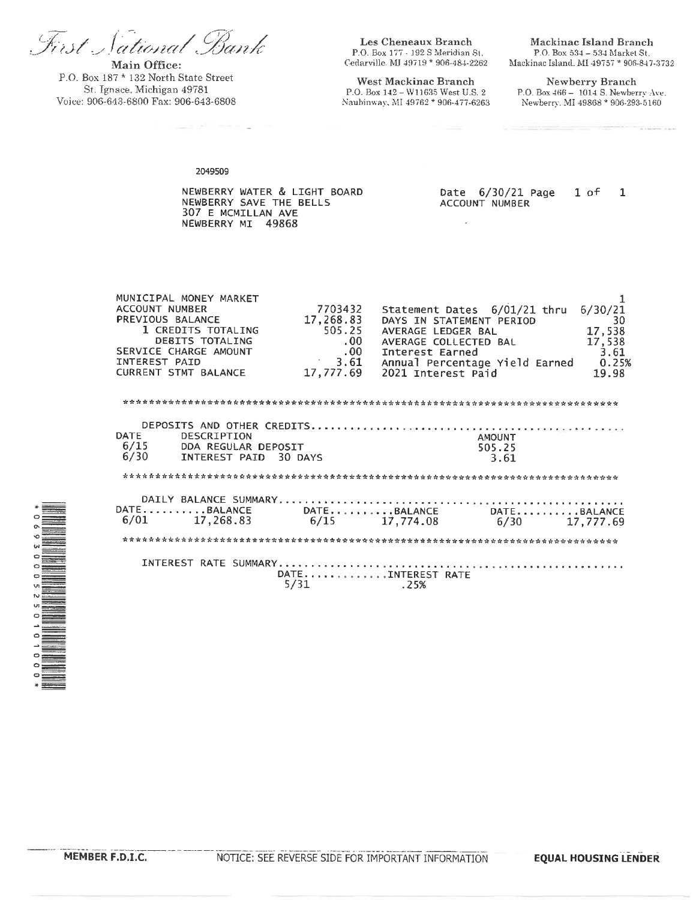First Sational Bank

Main Office: P.O. Box 187 \* 132 North State Street St. Ignace, Michigan 49781 Voice: 906-643-6800 Fax: 906-643-6808

Les Cheneaux Branch P.O. Box 177 - 192 S Meridian St. Cedarville, MJ 49719 \* 906-484-2262

West Mackinac Branch P.O. Box 142 - W11635 West U.S. 2 Naubinway, MI 49762 \* 906-477-6263

Mackinac Island Branch P.O. Box 534 - 534 Market St. Mackinac Island, MI 49757 \* 906-847-3732

Newberry Branch P.O. Box 466 - 1014 S. Newberry Ave. Newberry, MI 49868 \* 906-293-5160

2049509

NEWBERRY WATER & LIGHT BOARD NEWBERRY SAVE THE BELLS 307 E MCMILLAN AVE NEWBERRY MI 49868

Date 6/30/21 Page  $1$  of  $\mathbf{1}$ ACCOUNT NUMBER

 $\overline{a}$ 

| MUNICIPAL MONEY MARKET     |           |                                             |         |
|----------------------------|-----------|---------------------------------------------|---------|
| ACCOUNT NUMBER             | 7703432   | Statement Dates 6/01/21 thru                | 6/30/21 |
| PREVIOUS BALANCE           | 17,268.83 | DAYS IN STATEMENT PERIOD                    | 30      |
| 1 CREDITS TOTALING         | 505.25    | AVERAGE LEDGER BAL                          | 17,538  |
| DEBITS TOTALING            | .00.      | AVERAGE COLLECTED BAL                       | 17,538  |
| SERVICE CHARGE AMOUNT      | $.00 \,$  | Interest Earned                             | 3.61    |
| INTEREST PAID              | 3.61      | Annual Percentage Yield Earned              | 0.25%   |
| CURRENT STMT BALANCE       | 17,777.69 | 2021 Interest Paid                          | 19.98   |
|                            |           |                                             |         |
|                            |           |                                             |         |
|                            |           |                                             |         |
|                            |           |                                             |         |
| <b>DATE</b><br>DESCRIPTION |           | AMOUNT                                      |         |
| 6/15 DDA REGULAR DEPOSIT   |           | 505.25                                      |         |
| 6/30 INTEREST PAID 30 DAYS |           | 3.61                                        |         |
|                            |           |                                             |         |
|                            |           |                                             |         |
|                            |           |                                             |         |
|                            |           | DATEBALANCE     DATEBALANCE     DATEBALANCE |         |
| $6/01$ 17,268.83           |           | $6/15$ 17,774.08<br>6/30 17,777.69          |         |
|                            |           |                                             |         |
|                            |           |                                             |         |
|                            |           |                                             |         |
|                            |           |                                             |         |
|                            |           | DATETNTEREST RATE                           |         |
|                            | 5/31      | .25%                                        |         |
|                            |           |                                             |         |



**EQUAL HOUSING LENDER**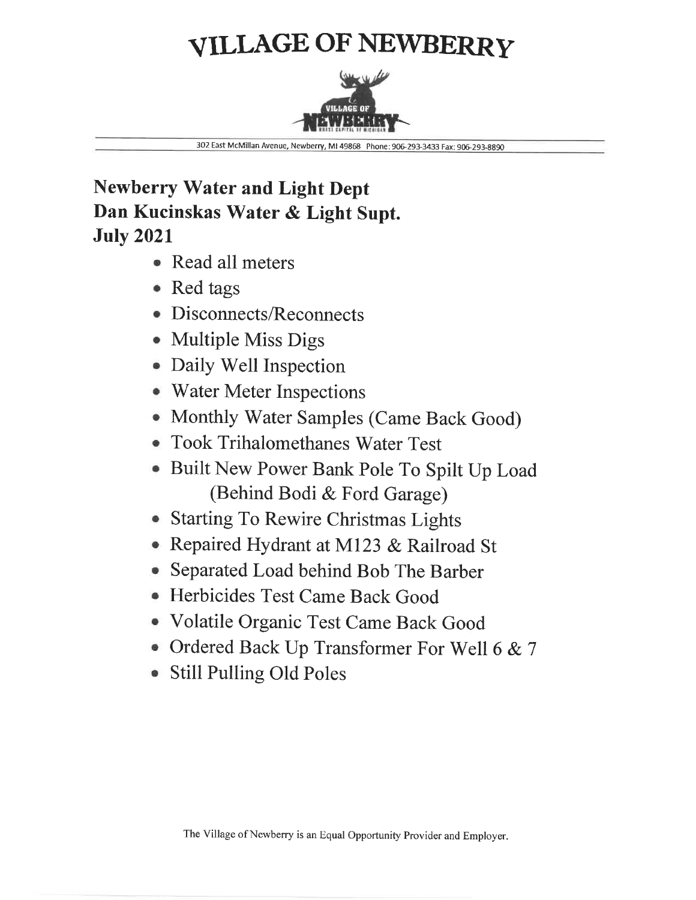# **VILLAGE OF NEWBERRY**



302 East McMillan Avenue, Newberry, MI 49868 Phone: 906-293-3433 Fax: 906-293-8890

# **Newberry Water and Light Dept** Dan Kucinskas Water & Light Supt. **July 2021**

- Read all meters
- Red tags
- Disconnects/Reconnects
- Multiple Miss Digs
- Daily Well Inspection
- Water Meter Inspections
- Monthly Water Samples (Came Back Good)
- Took Trihalomethanes Water Test
- Built New Power Bank Pole To Spilt Up Load (Behind Bodi & Ford Garage)
- Starting To Rewire Christmas Lights
- Repaired Hydrant at M123 & Railroad St
- Separated Load behind Bob The Barber
- Herbicides Test Came Back Good
- Volatile Organic Test Came Back Good
- Ordered Back Up Transformer For Well 6 & 7
- Still Pulling Old Poles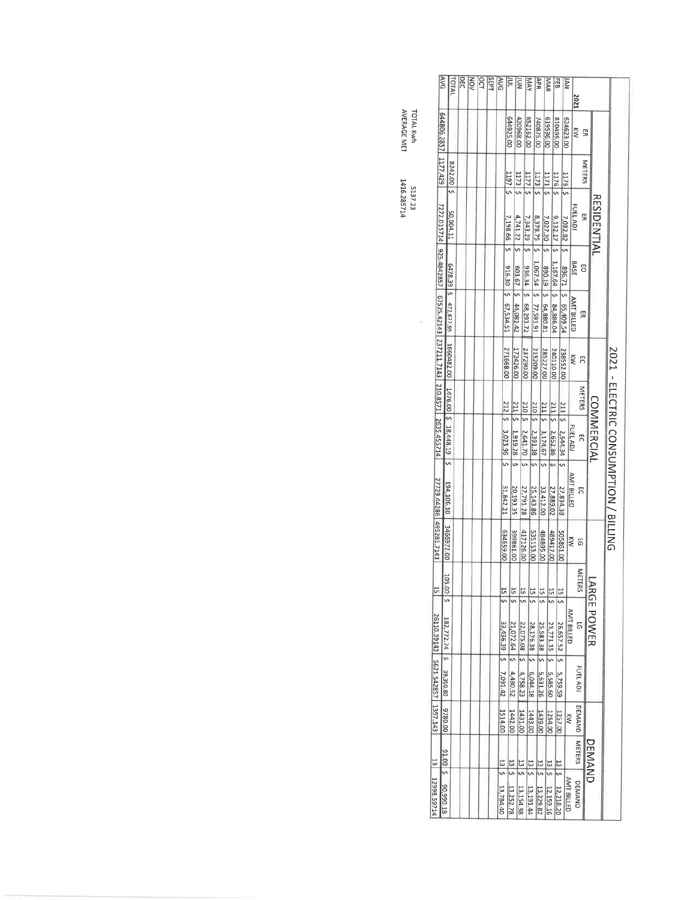| AVG                                                                  |                           | <b>TOTAL</b> | <b>DEC</b> | <b>NOV</b> | OCT | SEPT | AUG            | ĔΓ                    |                         | <b>NOT</b>           | MAY                                          | APR                                              |                    | MAR                     | 司                                | NAL                  | 2021               |               |                    |                                       |
|----------------------------------------------------------------------|---------------------------|--------------|------------|------------|-----|------|----------------|-----------------------|-------------------------|----------------------|----------------------------------------------|--------------------------------------------------|--------------------|-------------------------|----------------------------------|----------------------|--------------------|---------------|--------------------|---------------------------------------|
| 644806.2857 1177.429                                                 |                           |              |            |            |     |      |                | 644925.00             |                         | 420968.00            | 652162.00                                    | 740875.00                                        | 619596.00          |                         | 810495.00                        | 624623.00            | $\tilde{\epsilon}$ | 53            |                    |                                       |
|                                                                      |                           | 8242.00 \$   |            |            |     |      |                | 314611                |                         | $1173$ $\frac{5}{2}$ | $1177$ 5                                     | $1173$ 5                                         | $1171 \leq$        |                         | $1176$ \$                        | $1175$ $\frac{5}{5}$ |                    | METERS        |                    |                                       |
| 7272.015714 925.4842857 67525.42143 237211.7143 210.8571 2635.455714 |                           | 50,904.11    |            |            |     |      |                | 7,198.66   \$         | 4,741.22                |                      | 7,343.29                                     | 8,378.75                                         | 7,027.20 \$        |                         | 9,132.17                         | 7,082.82             | FUEL ADJ           | 5             | <b>RESIDENTIAL</b> |                                       |
|                                                                      |                           |              |            |            |     |      |                |                       |                         |                      |                                              |                                                  |                    |                         | 1,167.64                         | 12'968               | BASE               | 50            |                    |                                       |
|                                                                      | 6478.39 \$ 472,677.95     |              |            |            |     |      |                | 916.30   \$ 67,534.51 | 603.67   \$ 44,081.42   | 936.34 2 68,293.72   |                                              | 1,067.54   \$ 77,591.91                          | 890.19 2 64,880.81 | \$ 84,886.04            |                                  | 65,409.54            | <b>AMT BILLED</b>  | 5             |                    |                                       |
|                                                                      | 1660482.00                |              |            |            |     |      |                | 271668.00             | 172426.00               | 237290.00            |                                              | 215209.00                                        | 285227.00          | 240110.00               |                                  | 238552.00            | ξW                 | S             |                    |                                       |
|                                                                      |                           |              |            |            |     |      |                | $212 \frac{5}{2}$     | $211 \frac{5}{5}$       | 210   5              |                                              | $210$ $\zeta$                                    | $211 \pm 5$        | $211 \div$              |                                  |                      |                    | <b>METERS</b> |                    |                                       |
|                                                                      | 1476.00 \$ 18,448.19      |              |            |            |     |      |                | 3,023.96 \$           | 1,919.28                | 2,641.70             |                                              | 2,391.38                                         | 3,174.67           | 2,652.86                | $\frac{211}{211}$ \$ 2,644.34 \$ |                      | FUEL ADJ           | 5             | <b>COMMERCIAL</b>  |                                       |
|                                                                      | m<br>194,106.10           |              |            |            |     |      |                | 31,842.21             | 5<br>20,193.35          | 5<br>27,791.28       | 25,143.86                                    | $\overline{5}$                                   | 33,412.00          | 51<br>27,889.02         | 27,834.38                        |                      | <b>AMT BILLED</b>  | F             |                    | 2021 - ELECTRIC CONSUMPTION / BILLING |
| 27729.44286 495281.7143                                              | 3466972.00                |              |            |            |     |      |                | QD'6S97E9             | 399861.00               | 417126.00            | 535153.00                                    |                                                  | 484895.00          | 489417.00               | 505861.00                        |                      | ≷                  | 5             |                    |                                       |
| 51                                                                   | 105.<br>$5 \mid 00$       |              |            |            |     |      |                | $\frac{15}{2}$        | 15                      | $\frac{15}{5}$       | 55                                           |                                                  | $\frac{15}{2}$     | $\frac{15}{25}$         | $15 \mid 5$                      |                      |                    | METE<br>ERS   |                    |                                       |
|                                                                      |                           |              |            |            |     |      |                | 33,436.39 \$          |                         | 22,075.08   \$       | 28,176.38                                    |                                                  | 25,583.38 \$       |                         | 26,657.52 \$                     |                      | <b>AMT BILLED</b>  | <u>ត</u>      | <b>ARGE POWER</b>  |                                       |
| 26110.39143 5621.542857 1397.143                                     | 182,772.74   \$ 39,350.80 |              |            |            |     |      |                | 7,091.42              | 21,072.64   \$ 4,480.52 | 4,758.23             | $\begin{bmatrix} 5 & 6,044.18 \end{bmatrix}$ |                                                  | 5,631.26           | 25,771.35   \$ 5,585.60 | 5,759.59                         |                      |                    | FUEL ADI      |                    |                                       |
|                                                                      | 00'082.6                  |              |            |            |     |      |                | 1514.00               | 1442.00                 | 1431.00              | 1443.00                                      |                                                  | 1439.00            | 1254.00                 | 1257.00                          | ≷                    |                    |               |                    |                                       |
|                                                                      |                           |              |            |            |     |      | $\frac{13}{2}$ |                       | $\frac{13}{5}$          | $\frac{2}{3}$        | $\frac{2}{3}$ $\frac{2}{5}$                  |                                                  |                    |                         |                                  |                      |                    | DEMAND METERS | <b>DEMAND</b>      |                                       |
| 13 P1298.59714                                                       | 91.00 \$ 90,990.18        |              |            |            |     |      | 13,784.40      |                       | 13,252.78               | 13,154.38            | 13,191.44                                    | $13 \begin{vmatrix} 5 & 13,229.82 \end{vmatrix}$ |                    | 13 \$ 12,159.16         | 13 \$ 12,218.20                  | <b>AMT BILLED</b>    |                    | <b>DEMAND</b> |                    |                                       |

**TOTAL Kwh<br>AVERAGE MET** 

 $\frac{1}{2}$ 

5137.23<br>1416.285714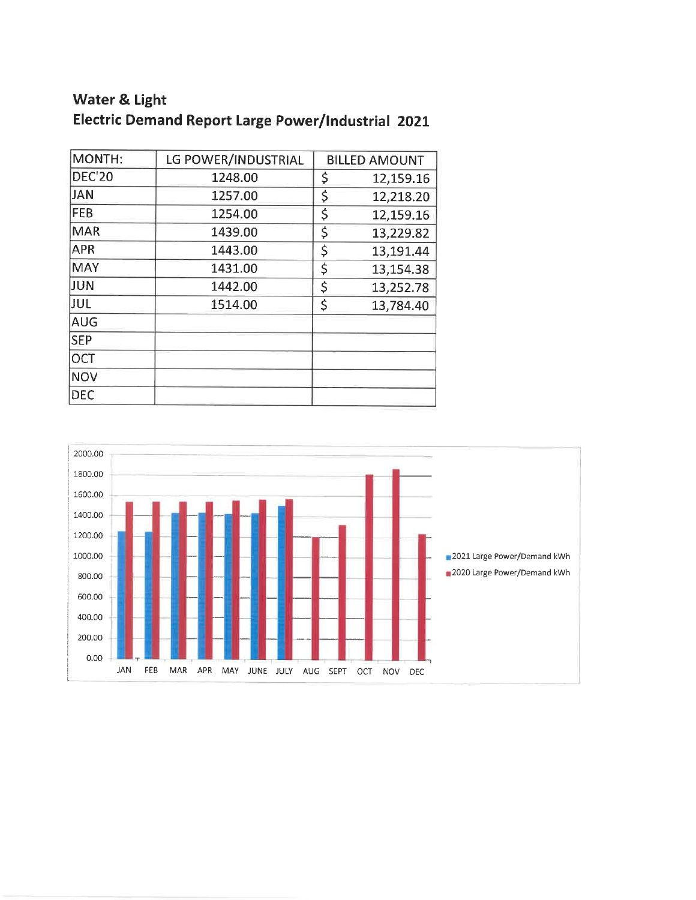# **Water & Light Electric Demand Report Large Power/Industrial 2021**

| MONTH:        | LG POWER/INDUSTRIAL | <b>BILLED AMOUNT</b> |
|---------------|---------------------|----------------------|
| <b>DEC'20</b> | 1248.00             | \$<br>12,159.16      |
| <b>JAN</b>    | 1257.00             | \$<br>12,218.20      |
| <b>FEB</b>    | 1254.00             | \$<br>12,159.16      |
| <b>MAR</b>    | 1439.00             | \$<br>13,229.82      |
| <b>APR</b>    | 1443.00             | \$<br>13,191.44      |
| <b>MAY</b>    | 1431.00             | \$<br>13,154.38      |
| JUN           | 1442.00             | \$<br>13,252.78      |
| JUL           | 1514.00             | \$<br>13,784.40      |
| <b>AUG</b>    |                     |                      |
| <b>SEP</b>    |                     |                      |
| <b>OCT</b>    |                     |                      |
| <b>NOV</b>    |                     |                      |
| <b>DEC</b>    |                     |                      |

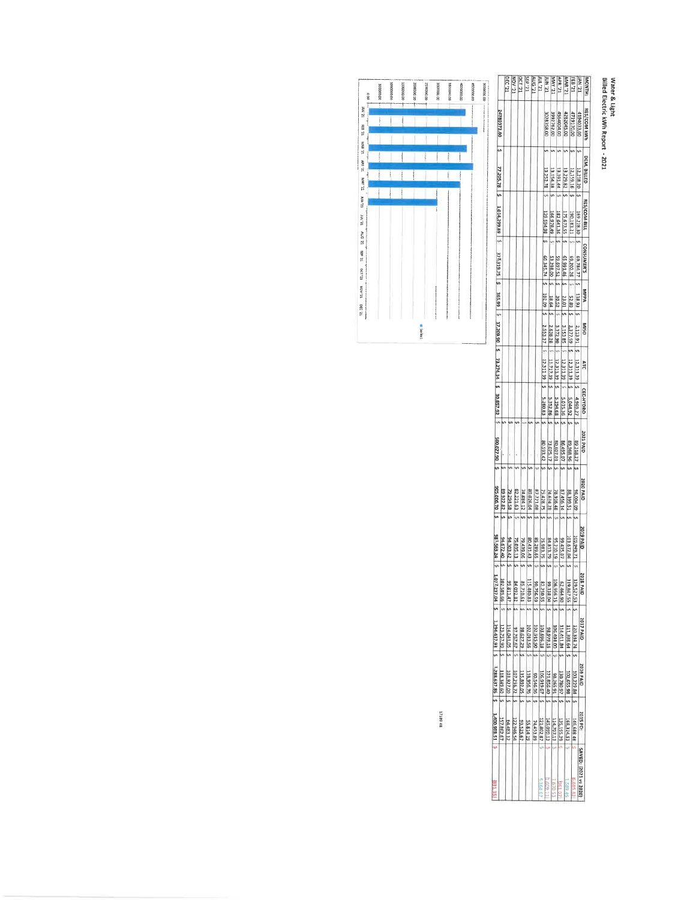# Water & Light<br>Billed Electric kWh Report - 2021

|                             |               | RC <sub>121</sub> | LZ. AOM     | 12,100      | LZ, d3S     | LZ, 9NV     | LZ, 101       | LZ, Nni     |              | <b>LZ. AVIA</b> | <b>UZ, NOV</b> | LZ. BVW    |             | LE <sup>9</sup> 121 | <b>LZ, NV</b>        | MONTH             |
|-----------------------------|---------------|-------------------|-------------|-------------|-------------|-------------|---------------|-------------|--------------|-----------------|----------------|------------|-------------|---------------------|----------------------|-------------------|
| 24780372.00                 |               |                   |             |             |             |             |               | 3028358.00  |              | 3992762.00      | 15640D4.0C     | 4282045.00 |             | 4719170.00          | 4194033.00           | RES/COM KWI       |
| 77 205,78                   |               |                   |             |             |             |             |               | 13, 252, 78 | 13 154.38    |                 | 13.191.4       | 13 229.82  | 12,159.16   |                     | 12,218.20            | DEM. BILLED       |
| 1,014,299.89                |               |                   |             |             |             |             |               | 129 594.98  | 166 978,49   |                 | 182 641.36     | 175 673.55 | 190.183.21  |                     | 169 228.30           | RES/COM BILL      |
| 378, 319, 75                |               |                   |             |             |             |             |               | 60.345.7    | 53.298.00    |                 | 59 697.52      | 65,991.46  | 69,202.26   |                     | 69,784.77            | <b>CONSUMER'S</b> |
| 56.5.99                     |               |                   |             |             |             |             |               | 102.09      | 18.64        |                 | 30.52          | 23.01      | 52.80       | 138.93              |                      | MepA              |
| 17 209.90 \$ 73 274.34      |               |                   |             |             |             |             |               | 253.3.3     | 638.28       | 3 372.90        |                | 3 153 85   | 3,377.59    | 2,113.91            |                      | <b>DSIM</b>       |
|                             |               |                   |             |             |             |             |               | 12 311 39   | 11717.39     | 12 311.39       |                | 12 311.39  | 12,311.39   | 12,311.39           |                      | ATC               |
| 30 857.92                   |               |                   |             |             |             |             |               | 5 280.83    | 5 352.86     | 5 194.68        |                | 5015.36    | 2,044.92    | 4969.27             |                      | CEC-HYDRO         |
| 06'22'005                   |               |                   |             |             |             |             |               | 80 593.42   | 73 025.17    | 80,607.01       | 86 495.07      |            | 96'886'68   | 89 318.27           |                      | 2021 PAID         |
| 905.0D6.70                  | 89 922 82     | 79 294.58         | 82 221.63   | 74 884.12   | 80 026.04   | 87 721.08   | 75 428.75     |             | 74 634.28    | 78 936.48       | 87 456.14      |            | 28,399.51   | 96,004.09           |                      | 2020 PAID         |
| 981, 563.24                 | 94 672.40     | 94.303.42         | 75 035.13   | 79.439.06   | 80431.43    | 85.289.65   | 75 983.75     |             | 84 813.79    | 95,210.19       | 99 435.07      |            | 101 672.04  | 109,949.71          |                      | 2019 PAID         |
| 1072<br>237.04              | 102<br>589.66 | S6<br>811.47      | œ<br>092.82 | œ<br>710.61 | 릂<br>480.83 | Ŕ<br>756.59 | læ,<br>250.55 |             | ۱Ŗ<br>338.04 | Ξ<br>956.15     | g,<br>06 p9p   |            | Ξ<br>847.55 | 12r<br>\$27.53      |                      | 2018<br>al Al     |
| 1,294 437.93   S            | 123, 757.90   | 114 041.05        | 97 767.67   | 98 627.29   | 202 013.56  | 102 915.90  | 103 696.18    |             | 92 979.15    | 106 494.00      | 114 411.84     |            | 111,398.64  | 120,334.74          |                      | 2017 PAID         |
| 1 288 637.86 S 1 400.903.51 | 118,349.60    | 103,927.00        | 107.256.72  | 115,892.05  | 118,956.76  | 50.546.96   | 106919.67     |             | 121 B56.40   | 16 597 86       | 130 780.97     |            | 102,655.98  | 103,229.84          | 2016 PAID            |                   |
|                             | 157 862.67    | 64,483.12         | 122 946.54  | 93,525.67   | 55 814.19   | 74 453.89   | 121 802.87    |             | 145 099.13   | 114.707.13      | 135,195.29     | 168,324.53 |             | 146,688.48          | 2015 PD:             |                   |
| <b>NATION</b>               |               |                   |             |             |             |             | $-164.6$      | $-609 -$    |              | 67053           |                | 589.4      |             | 6 685.82            | SAVED: 2021 vs 2020) |                   |



1718948

ľ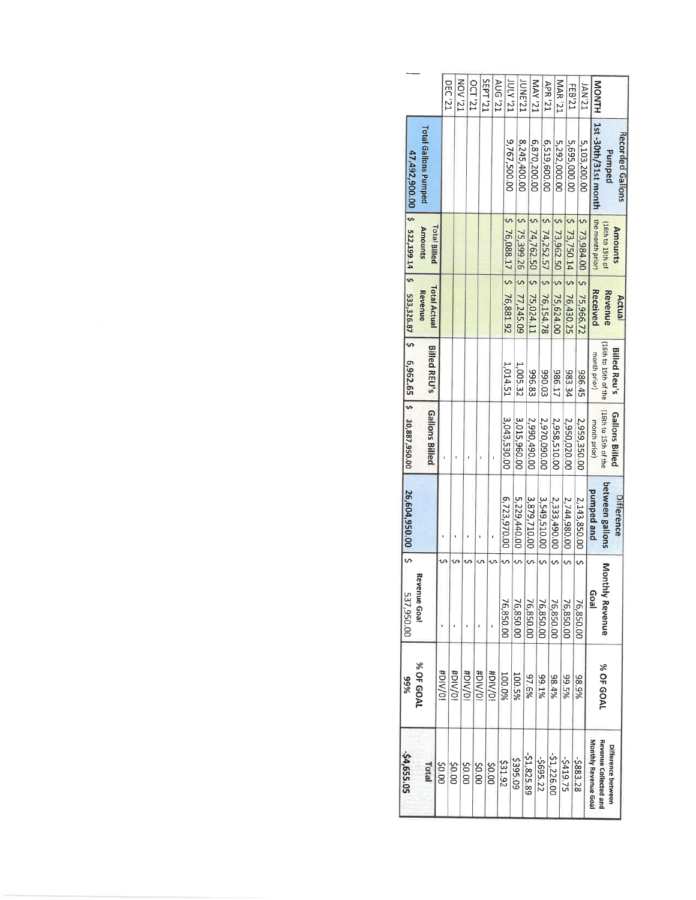|                       |                | 537,950.00                  | 26,604,950.00   \$ |                       |                      |                                |                                       | 47,492,900.00   \$ 522,199.14   \$ 533,326.87   \$ 6,962.65   \$ 20,887,950.00 |                    |
|-----------------------|----------------|-----------------------------|--------------------|-----------------------|----------------------|--------------------------------|---------------------------------------|--------------------------------------------------------------------------------|--------------------|
| Total                 | % OF GOAL      | venue Goal                  |                    | Gallons Billed        | <b>Billed REU's</b>  | <b>Total Actual</b><br>Revenue | Total Billed<br>Amounts               | Total Gallons Pumped                                                           |                    |
| \$0.00                | <b>iO/NIC#</b> |                             |                    |                       |                      |                                |                                       |                                                                                |                    |
| \$0.00                | <b>#DIV/0!</b> |                             |                    |                       |                      |                                |                                       |                                                                                | DEC <sub>121</sub> |
| 00.02                 | <b>HDIV/OI</b> |                             |                    |                       |                      |                                |                                       |                                                                                | LZ, AON            |
| 00'0\$                | #DIV/01        |                             |                    |                       |                      |                                |                                       |                                                                                | <b>DCT '21</b>     |
| \$0.00                | HDIV/01        |                             |                    |                       |                      |                                |                                       |                                                                                | IZ, Ld3S           |
| 231.92                | 100.0%         | 76,850.00                   | 6,723,970.00       | 3,043,530.00          |                      |                                |                                       |                                                                                | TZ, 9NV            |
|                       |                |                             |                    |                       | 1,014.51             |                                | $576,088.17$ $576,881.92$             | 9,767,500.00                                                                   | <b>IS'Y121</b>     |
| 5395.09               | 100.5%         | 76,850.00                   | 5,229,440.00       | 3,015,960.00          | 1,005.32             | 5 77,245.09                    | $5 \times 2593.26$                    | 8,245,400.00                                                                   | <b>UNE'21</b>      |
| $-51,825.89$          | 97.6%          | 76,850.00                   | 3,879,710.00       | 2,990,490.00          | 396.83               |                                | $5$ 74,762.50 $\frac{1}{2}$ 75,024.11 | 6,870,200.00                                                                   | IZ, AVM            |
| \$695.22              | 89.1%          | 76,850.00                   | 3,549,510.00       | 2,970,090.00          | 390.03               |                                | $574,252.57$ $\frac{1}{5}76,154.78$   | 6,519,600.00                                                                   |                    |
| $-51,226.00$          | 98.4%          | 76,850.00                   | 2,333,490.00       | 2,958,510.00          | 986.17               |                                | $$73,962.50$ $$75,624.00$             |                                                                                | <b>APR</b> '21     |
| -\$419.75             | 99.5%          | 76,850.00                   | 2,744,980.00       | 2,950,020.00          | 983.34               |                                | $5$ 73,750.14 $\frac{1}{5}$ 76,430.25 | 5,292,000.00                                                                   | <b>IZ, 8VM</b>     |
| -\$883.28             | 88.9%          | 76,850.0C                   | 2,143,850.00       | 2,959,350.00          | 986.45               |                                |                                       | 5,695,000.00                                                                   | FEB <sub>21</sub>  |
|                       |                |                             |                    |                       |                      |                                | $5$ 73,984.00 $\mid$ \$ 75,966.72     | 5,103,200.00                                                                   | <b>ISV'21</b>      |
| Monthly Revenue Goa   |                | <b>Goal</b>                 | punped and         | month prior)          | month prior)         | Received                       | the month prior)                      | 1st -30th/31st month                                                           | NONTH              |
| Revenue Collected and | % OF GOAL      | Mon<br><b>Ithly Revenue</b> | between gallons    | (16th to 15th of the  | (16th to 15th of the | Revenue                        | (16th to 15th of                      | Pumped                                                                         |                    |
| Difference between    |                |                             | Difference         | <b>Gallons Billed</b> | <b>Billed Reu's</b>  | Actual                         | <b>Amounts</b>                        | Recorded Gallons                                                               |                    |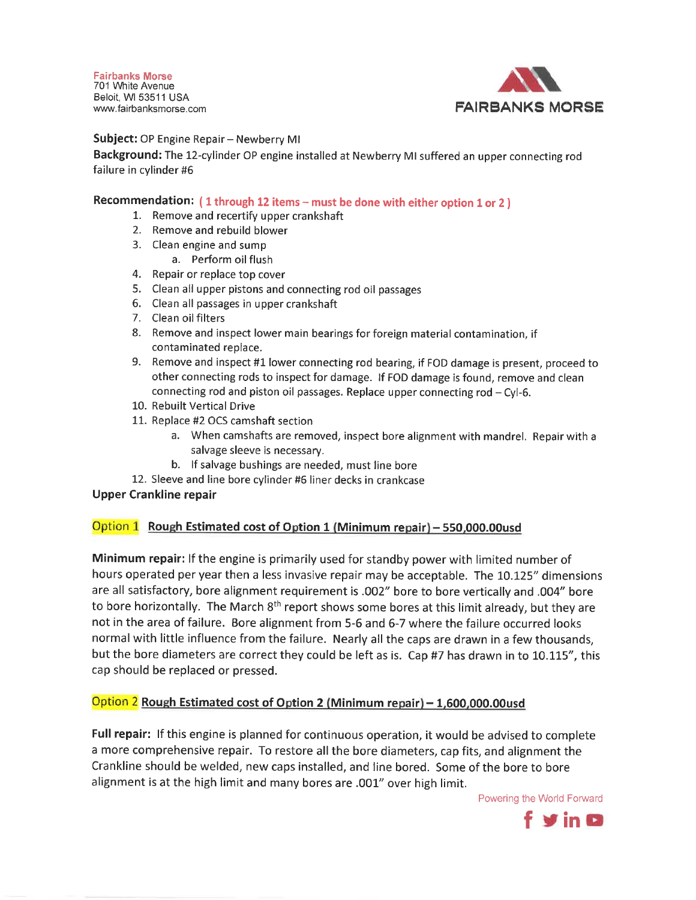**Fairbanks Morse** 701 White Avenue Beloit, WI 53511 USA www.fairbanksmorse.com



**Subject: OP Engine Repair – Newberry MI** 

Background: The 12-cylinder OP engine installed at Newberry MI suffered an upper connecting rod failure in cylinder #6

#### Recommendation: (1 through 12 items - must be done with either option 1 or 2)

- 1. Remove and recertify upper crankshaft
- 2. Remove and rebuild blower
- 3. Clean engine and sump
	- a. Perform oil flush
- 4. Repair or replace top cover
- 5. Clean all upper pistons and connecting rod oil passages
- 6. Clean all passages in upper crankshaft
- 7. Clean oil filters
- 8. Remove and inspect lower main bearings for foreign material contamination, if contaminated replace.
- 9. Remove and inspect #1 lower connecting rod bearing, if FOD damage is present, proceed to other connecting rods to inspect for damage. If FOD damage is found, remove and clean connecting rod and piston oil passages. Replace upper connecting rod - Cyl-6.
- 10. Rebuilt Vertical Drive
- 11. Replace #2 OCS camshaft section
	- a. When camshafts are removed, inspect bore alignment with mandrel. Repair with a salvage sleeve is necessary.
	- b. If salvage bushings are needed, must line bore
- 12. Sleeve and line bore cylinder #6 liner decks in crankcase

#### **Upper Crankline repair**

#### Option 1 Rough Estimated cost of Option 1 (Minimum repair) - 550,000.00usd

Minimum repair: If the engine is primarily used for standby power with limited number of hours operated per year then a less invasive repair may be acceptable. The 10.125" dimensions are all satisfactory, bore alignment requirement is .002" bore to bore vertically and .004" bore to bore horizontally. The March 8<sup>th</sup> report shows some bores at this limit already, but they are not in the area of failure. Bore alignment from 5-6 and 6-7 where the failure occurred looks normal with little influence from the failure. Nearly all the caps are drawn in a few thousands, but the bore diameters are correct they could be left as is. Cap #7 has drawn in to 10.115", this cap should be replaced or pressed.

#### Option 2 Rough Estimated cost of Option 2 (Minimum repair) - 1,600,000.00usd

Full repair: If this engine is planned for continuous operation, it would be advised to complete a more comprehensive repair. To restore all the bore diameters, cap fits, and alignment the Crankline should be welded, new caps installed, and line bored. Some of the bore to bore alignment is at the high limit and many bores are .001" over high limit.

Powering the World Forward

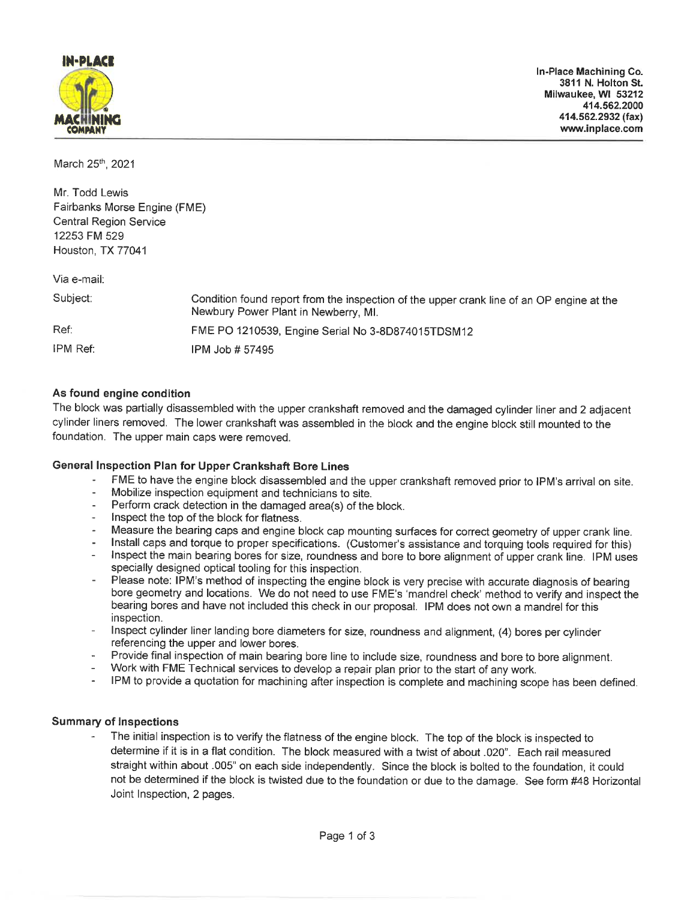

March 25th, 2021

Mr. Todd Lewis Fairbanks Morse Engine (FME) **Central Region Service** 12253 FM 529 Houston, TX 77041

Via e-mail:

| Subject: | Condition found report from the inspection of the upper crank line of an OP engine at the<br>Newbury Power Plant in Newberry, MI. |
|----------|-----------------------------------------------------------------------------------------------------------------------------------|
| Ref:     | FME PO 1210539, Engine Serial No 3-8D874015TDSM12                                                                                 |
| IPM Ref: | IPM Job # 57495                                                                                                                   |

#### As found engine condition

The block was partially disassembled with the upper crankshaft removed and the damaged cylinder liner and 2 adjacent cylinder liners removed. The lower crankshaft was assembled in the block and the engine block still mounted to the foundation. The upper main caps were removed.

#### General Inspection Plan for Upper Crankshaft Bore Lines

- FME to have the engine block disassembled and the upper crankshaft removed prior to IPM's arrival on site.
- Mobilize inspection equipment and technicians to site.
- Perform crack detection in the damaged area(s) of the block.
- Inspect the top of the block for flatness.
- Measure the bearing caps and engine block cap mounting surfaces for correct geometry of upper crank line.
- $\omega$  . Install caps and torque to proper specifications. (Customer's assistance and torquing tools required for this)
- Inspect the main bearing bores for size, roundness and bore to bore alignment of upper crank line. IPM uses specially designed optical tooling for this inspection.
- Please note: IPM's method of inspecting the engine block is very precise with accurate diagnosis of bearing bore geometry and locations. We do not need to use FME's 'mandrel check' method to verify and inspect the bearing bores and have not included this check in our proposal. IPM does not own a mandrel for this inspection.
- Inspect cylinder liner landing bore diameters for size, roundness and alignment, (4) bores per cylinder referencing the upper and lower bores.
- Provide final inspection of main bearing bore line to include size, roundness and bore to bore alignment.
- Work with FME Technical services to develop a repair plan prior to the start of any work.
- IPM to provide a quotation for machining after inspection is complete and machining scope has been defined.

#### **Summary of Inspections**

The initial inspection is to verify the flatness of the engine block. The top of the block is inspected to determine if it is in a flat condition. The block measured with a twist of about .020". Each rail measured straight within about .005" on each side independently. Since the block is bolted to the foundation, it could not be determined if the block is twisted due to the foundation or due to the damage. See form #48 Horizontal Joint Inspection, 2 pages.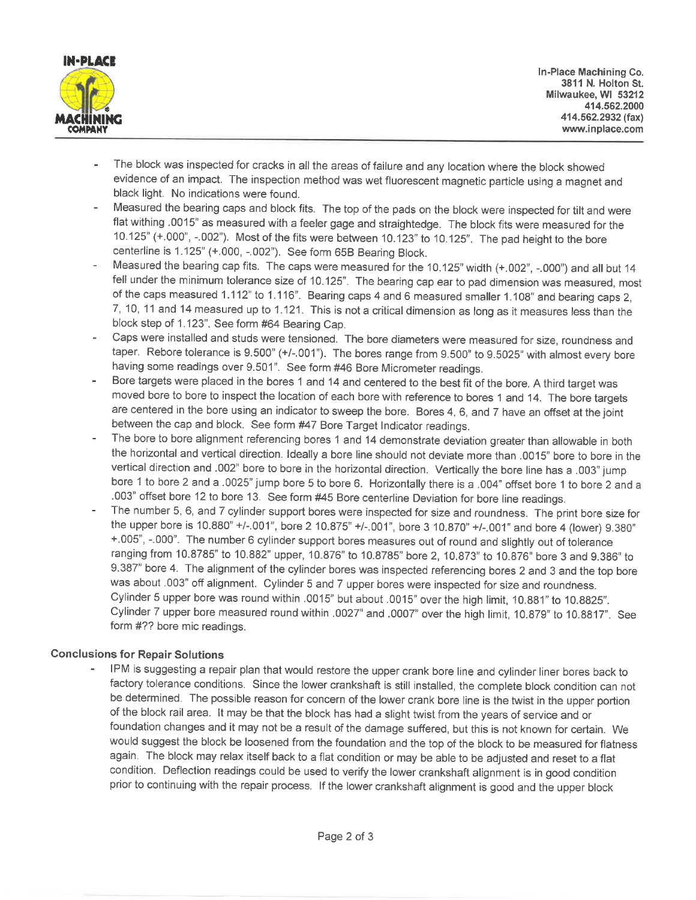

- The block was inspected for cracks in all the areas of failure and any location where the block showed evidence of an impact. The inspection method was wet fluorescent magnetic particle using a magnet and black light. No indications were found.
- Measured the bearing caps and block fits. The top of the pads on the block were inspected for tilt and were flat withing .0015" as measured with a feeler gage and straightedge. The block fits were measured for the 10.125" (+.000", -.002"). Most of the fits were between 10.123" to 10.125". The pad height to the bore centerline is 1.125" (+.000, -.002"). See form 65B Bearing Block.
- Measured the bearing cap fits. The caps were measured for the 10.125" width (+.002", -.000") and all but 14 fell under the minimum tolerance size of 10.125". The bearing cap ear to pad dimension was measured, most of the caps measured 1.112" to 1.116". Bearing caps 4 and 6 measured smaller 1.108" and bearing caps 2, 7, 10, 11 and 14 measured up to 1.121. This is not a critical dimension as long as it measures less than the block step of 1.123". See form #64 Bearing Cap.
- Caps were installed and studs were tensioned. The bore diameters were measured for size, roundness and taper. Rebore tolerance is 9.500" (+/-.001"). The bores range from 9.500" to 9.5025" with almost every bore having some readings over 9.501". See form #46 Bore Micrometer readings.
- Bore targets were placed in the bores 1 and 14 and centered to the best fit of the bore. A third target was moved bore to bore to inspect the location of each bore with reference to bores 1 and 14. The bore targets are centered in the bore using an indicator to sweep the bore. Bores 4, 6, and 7 have an offset at the joint between the cap and block. See form #47 Bore Target Indicator readings.
- The bore to bore alignment referencing bores 1 and 14 demonstrate deviation greater than allowable in both the horizontal and vertical direction. Ideally a bore line should not deviate more than .0015" bore to bore in the vertical direction and .002" bore to bore in the horizontal direction. Vertically the bore line has a .003" jump bore 1 to bore 2 and a .0025" jump bore 5 to bore 6. Horizontally there is a .004" offset bore 1 to bore 2 and a .003" offset bore 12 to bore 13. See form #45 Bore centerline Deviation for bore line readings.
- The number 5, 6, and 7 cylinder support bores were inspected for size and roundness. The print bore size for the upper bore is 10.880" +/-.001", bore 2 10.875" +/-.001", bore 3 10.870" +/-.001" and bore 4 (lower) 9.380" +.005", -.000". The number 6 cylinder support bores measures out of round and slightly out of tolerance ranging from 10.8785" to 10.882" upper, 10.876" to 10.8785" bore 2, 10.873" to 10.876" bore 3 and 9.386" to 9.387" bore 4. The alignment of the cylinder bores was inspected referencing bores 2 and 3 and the top bore was about .003" off alignment. Cylinder 5 and 7 upper bores were inspected for size and roundness. Cylinder 5 upper bore was round within .0015" but about .0015" over the high limit, 10.881" to 10.8825". Cylinder 7 upper bore measured round within .0027" and .0007" over the high limit, 10.879" to 10.8817". See form #?? bore mic readings.

#### **Conclusions for Repair Solutions**

IPM is suggesting a repair plan that would restore the upper crank bore line and cylinder liner bores back to factory tolerance conditions. Since the lower crankshaft is still installed, the complete block condition can not be determined. The possible reason for concern of the lower crank bore line is the twist in the upper portion of the block rail area. It may be that the block has had a slight twist from the years of service and or foundation changes and it may not be a result of the damage suffered, but this is not known for certain. We would suggest the block be loosened from the foundation and the top of the block to be measured for flatness again. The block may relax itself back to a flat condition or may be able to be adjusted and reset to a flat condition. Deflection readings could be used to verify the lower crankshaft alignment is in good condition prior to continuing with the repair process. If the lower crankshaft alignment is good and the upper block